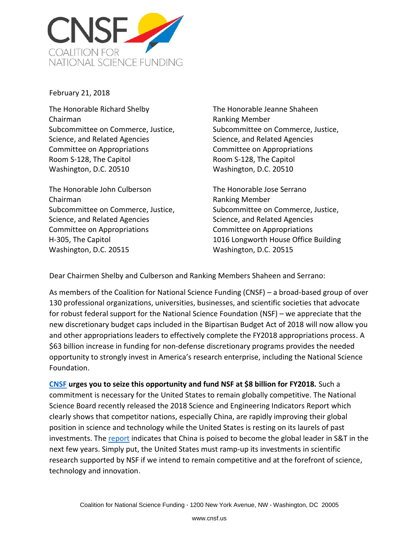

February 21, 2018

The Honorable Richard Shelby Chairman Subcommittee on Commerce, Justice, Science, and Related Agencies Committee on Appropriations Room S-128, The Capitol Washington, D.C. 20510

The Honorable John Culberson Chairman Subcommittee on Commerce, Justice, Science, and Related Agencies Committee on Appropriations H-305, The Capitol Washington, D.C. 20515

The Honorable Jeanne Shaheen Ranking Member Subcommittee on Commerce, Justice, Science, and Related Agencies Committee on Appropriations Room S-128, The Capitol Washington, D.C. 20510

The Honorable Jose Serrano Ranking Member Subcommittee on Commerce, Justice, Science, and Related Agencies Committee on Appropriations 1016 Longworth House Office Building Washington, D.C. 20515

Dear Chairmen Shelby and Culberson and Ranking Members Shaheen and Serrano:

As members of the Coalition for National Science Funding (CNSF) – a broad-based group of over 130 professional organizations, universities, businesses, and scientific societies that advocate for robust federal support for the National Science Foundation (NSF) – we appreciate that the new discretionary budget caps included in the Bipartisan Budget Act of 2018 will now allow you and other appropriations leaders to effectively complete the FY2018 appropriations process. A \$63 billion increase in funding for non-defense discretionary programs provides the needed opportunity to strongly invest in America's research enterprise, including the National Science Foundation.

**[CNSF](http://www.cnsf.us/) urges you to seize this opportunity and fund NSF at \$8 billion for FY2018.** Such a commitment is necessary for the United States to remain globally competitive. The National Science Board recently released the 2018 Science and Engineering Indicators Report which clearly shows that competitor nations, especially China, are rapidly improving their global position in science and technology while the United States is resting on its laurels of past investments. The [report](https://www.nsf.gov/nsb/news/news_summ.jsp?cntn_id=244252) indicates that China is poised to become the global leader in S&T in the next few years. Simply put, the United States must ramp-up its investments in scientific research supported by NSF if we intend to remain competitive and at the forefront of science, technology and innovation.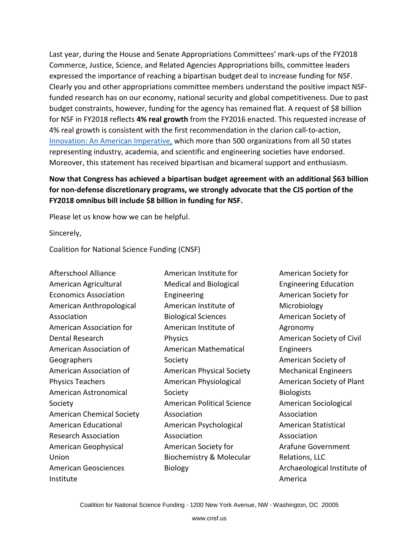Last year, during the House and Senate Appropriations Committees' mark-ups of the FY2018 Commerce, Justice, Science, and Related Agencies Appropriations bills, committee leaders expressed the importance of reaching a bipartisan budget deal to increase funding for NSF. Clearly you and other appropriations committee members understand the positive impact NSFfunded research has on our economy, national security and global competitiveness. Due to past budget constraints, however, funding for the agency has remained flat. A request of \$8 billion for NSF in FY2018 reflects **4% real growth** from the FY2016 enacted. This requested increase of 4% real growth is consistent with the first recommendation in the clarion call-to-action, [Innovation: An American Imperative,](https://www.amacad.org/content/innovationimperative/) which more than 500 organizations from all 50 states representing industry, academia, and scientific and engineering societies have endorsed. Moreover, this statement has received bipartisan and bicameral support and enthusiasm.

## **Now that Congress has achieved a bipartisan budget agreement with an additional \$63 billion for non-defense discretionary programs, we strongly advocate that the CJS portion of the FY2018 omnibus bill include \$8 billion in funding for NSF.**

Please let us know how we can be helpful.

Sincerely,

Coalition for National Science Funding (CNSF)

Afterschool Alliance American Agricultural Economics Association American Anthropological Association American Association for Dental Research American Association of Geographers American Association of Physics Teachers American Astronomical Society American Chemical Society American Educational Research Association American Geophysical Union American Geosciences Institute

American Institute for Medical and Biological Engineering American Institute of Biological Sciences American Institute of Physics American Mathematical Society American Physical Society American Physiological Society American Political Science Association American Psychological Association American Society for Biochemistry & Molecular Biology

American Society for Engineering Education American Society for Microbiology American Society of Agronomy American Society of Civil Engineers American Society of Mechanical Engineers American Society of Plant **Biologists** American Sociological Association American Statistical Association Arafune Government Relations, LLC Archaeological Institute of America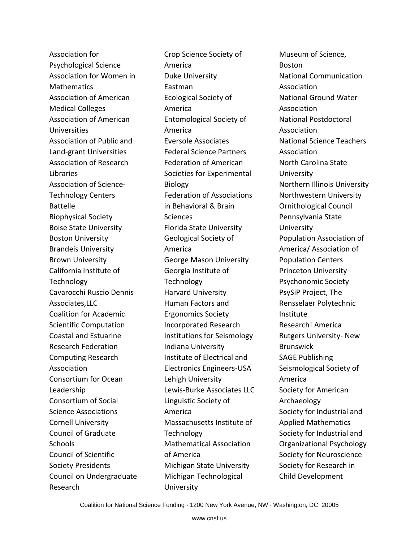Association for Psychological Science Association for Women in **Mathematics** Association of American Medical Colleges Association of American Universities Association of Public and Land-grant Universities Association of Research Libraries Association of Science-Technology Centers Battelle Biophysical Society Boise State University Boston University Brandeis University Brown University California Institute of **Technology** Cavarocchi Ruscio Dennis Associates,LLC Coalition for Academic Scientific Computation Coastal and Estuarine Research Federation Computing Research Association Consortium for Ocean Leadership Consortium of Social Science Associations Cornell University Council of Graduate **Schools** Council of Scientific Society Presidents Council on Undergraduate Research

Crop Science Society of America Duke University Eastman Ecological Society of America Entomological Society of America Eversole Associates Federal Science Partners Federation of American Societies for Experimental Biology Federation of Associations in Behavioral & Brain Sciences Florida State University Geological Society of America George Mason University Georgia Institute of **Technology** Harvard University Human Factors and Ergonomics Society Incorporated Research Institutions for Seismology Indiana University Institute of Electrical and Electronics Engineers-USA Lehigh University Lewis-Burke Associates LLC Linguistic Society of America Massachusetts Institute of **Technology** Mathematical Association of America Michigan State University Michigan Technological University

Museum of Science, Boston National Communication Association National Ground Water Association National Postdoctoral Association National Science Teachers Association North Carolina State **University** Northern Illinois University Northwestern University Ornithological Council Pennsylvania State University Population Association of America/ Association of Population Centers Princeton University Psychonomic Society PsySiP Project, The Rensselaer Polytechnic Institute Research! America Rutgers University- New **Brunswick** SAGE Publishing Seismological Society of America Society for American Archaeology Society for Industrial and Applied Mathematics Society for Industrial and Organizational Psychology Society for Neuroscience Society for Research in Child Development